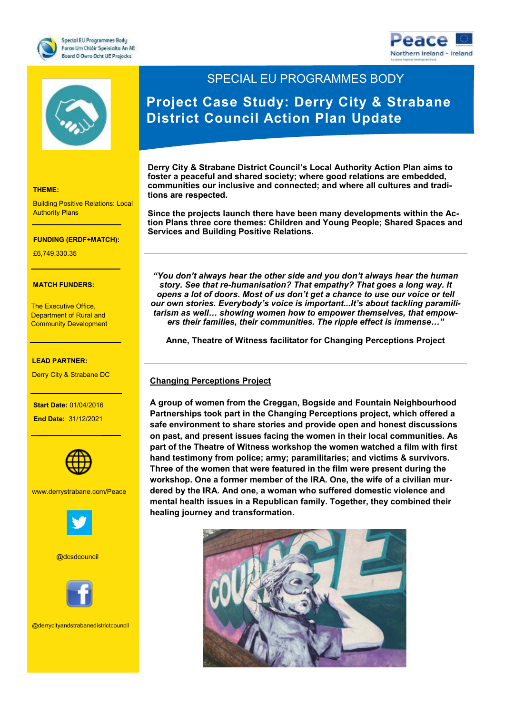





#### **THEME:**

Building Positive Relations: Local **Authority Plans** 

## **THEME: FUNDING (ERDF+MATCH):**

Research and Innovation £6,749,330.35

# **MATCH FUNDERS:**  $\overline{a}$

**Community Development** The Executive Office, Department of Rural and

€7,727,271.20

### **LEAD PARTNER:**

Derry City & Strabane DC

- Norther Ireland

**Start Date: 01/04/2016** 

 **End Date:** 31/12/2021



www.derrystrabane.com/Peace



@dcsdcouncil



@derrycityandstrabanedistrictcouncil

# SPECIAL EU PROGRAMMES BODY

# **Project Case Study: Derry City & Strabane District Council Action Plan Update**

**Derry City & Strabane District Council's Local Authority Action Plan aims to foster a peaceful and shared society; where good relations are embedded, communities our inclusive and connected; and where all cultures and traditions are respected.** 

**Since the projects launch there have been many developments within the Action Plans three core themes: Children and Young People; Shared Spaces and Services and Building Positive Relations.** 

*"You don't always hear the other side and you don't always hear the human story. See that re-humanisation? That empathy? That goes a long way. It opens a lot of doors. Most of us don't get a chance to use our voice or tell our own stories. Everybody's voice is important...It's about tackling paramilitarism as well… showing women how to empower themselves, that empowers their families, their communities. The ripple effect is immense…"*

**Anne, Theatre of Witness facilitator for Changing Perceptions Project**

## **Changing Perceptions Project**

**A group of women from the Creggan, Bogside and Fountain Neighbourhood Partnerships took part in the Changing Perceptions project, which offered a safe environment to share stories and provide open and honest discussions on past, and present issues facing the women in their local communities. As part of the Theatre of Witness workshop the women watched a film with first hand testimony from police; army; paramilitaries; and victims & survivors. Three of the women that were featured in the film were present during the workshop. One a former member of the IRA. One, the wife of a civilian murdered by the IRA. And one, a woman who suffered domestic violence and mental health issues in a Republican family. Together, they combined their healing journey and transformation.**